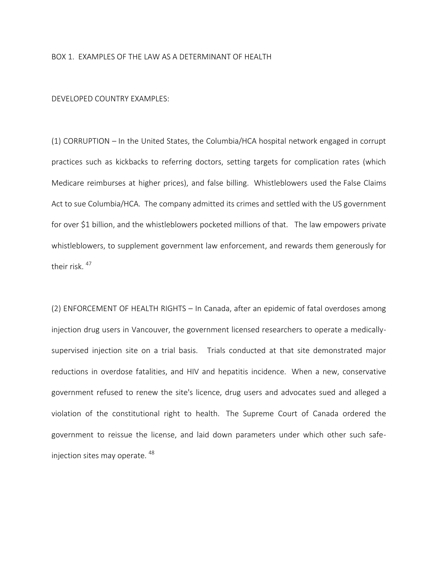## BOX 1. EXAMPLES OF THE LAW AS A DETERMINANT OF HEALTH

## DEVELOPED COUNTRY EXAMPLES:

(1) CORRUPTION – In the United States, the Columbia/HCA hospital network engaged in corrupt practices such as kickbacks to referring doctors, setting targets for complication rates (which Medicare reimburses at higher prices), and false billing. Whistleblowers used the False Claims Act to sue Columbia/HCA. The company admitted its crimes and settled with the US government for over \$1 billion, and the whistleblowers pocketed millions of that. The law empowers private whistleblowers, to supplement government law enforcement, and rewards them generously for their risk. <sup>47</sup>

(2) ENFORCEMENT OF HEALTH RIGHTS – In Canada, after an epidemic of fatal overdoses among injection drug users in Vancouver, the government licensed researchers to operate a medicallysupervised injection site on a trial basis. Trials conducted at that site demonstrated major reductions in overdose fatalities, and HIV and hepatitis incidence. When a new, conservative government refused to renew the site's licence, drug users and advocates sued and alleged a violation of the constitutional right to health. The Supreme Court of Canada ordered the government to reissue the license, and laid down parameters under which other such safeinjection sites may operate. <sup>48</sup>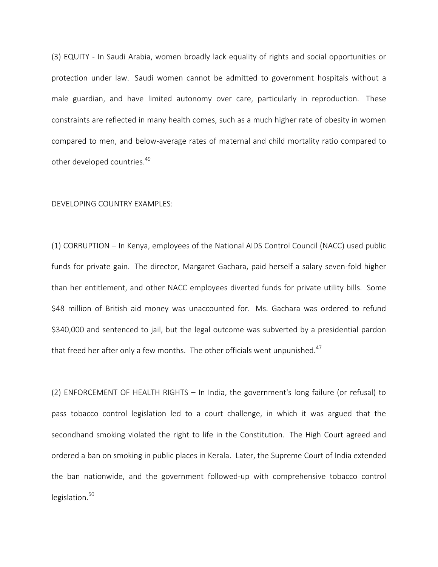(3) EQUITY - In Saudi Arabia, women broadly lack equality of rights and social opportunities or protection under law. Saudi women cannot be admitted to government hospitals without a male guardian, and have limited autonomy over care, particularly in reproduction. These constraints are reflected in many health comes, such as a much higher rate of obesity in women compared to men, and below-average rates of maternal and child mortality ratio compared to other developed countries.<sup>49</sup>

## DEVELOPING COUNTRY EXAMPLES:

(1) CORRUPTION – In Kenya, employees of the National AIDS Control Council (NACC) used public funds for private gain. The director, Margaret Gachara, paid herself a salary seven-fold higher than her entitlement, and other NACC employees diverted funds for private utility bills. Some \$48 million of British aid money was unaccounted for. Ms. Gachara was ordered to refund \$340,000 and sentenced to jail, but the legal outcome was subverted by a presidential pardon that freed her after only a few months. The other officials went unpunished.<sup>47</sup>

(2) ENFORCEMENT OF HEALTH RIGHTS – In India, the government's long failure (or refusal) to pass tobacco control legislation led to a court challenge, in which it was argued that the secondhand smoking violated the right to life in the Constitution. The High Court agreed and ordered a ban on smoking in public places in Kerala. Later, the Supreme Court of India extended the ban nationwide, and the government followed-up with comprehensive tobacco control legislation. $50$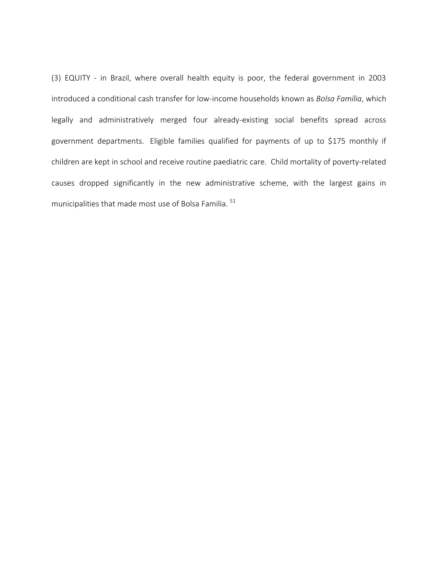(3) EQUITY - in Brazil, where overall health equity is poor, the federal government in 2003 introduced a conditional cash transfer for low-income households known as *Bolsa Família*, which legally and administratively merged four already-existing social benefits spread across government departments. Eligible families qualified for payments of up to \$175 monthly if children are kept in school and receive routine paediatric care. Child mortality of poverty-related causes dropped significantly in the new administrative scheme, with the largest gains in municipalities that made most use of Bolsa Familia. <sup>51</sup>